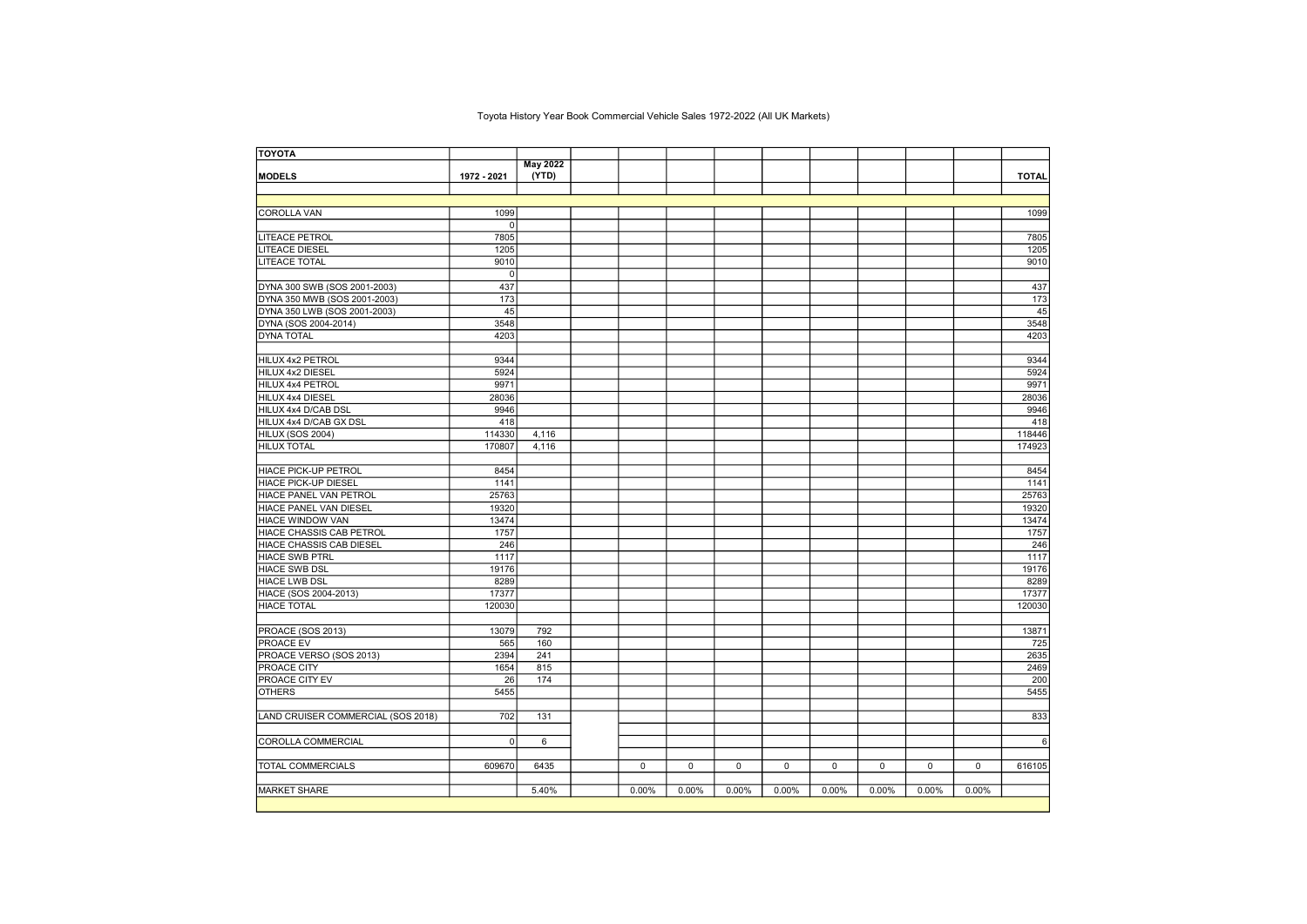## Toyota History Year Book Commercial Vehicle Sales 1972-2022 (All UK Markets)

| <b>TOYOTA</b>                      |                |                 |       |       |       |       |       |       |       |       |              |
|------------------------------------|----------------|-----------------|-------|-------|-------|-------|-------|-------|-------|-------|--------------|
|                                    |                | <b>May 2022</b> |       |       |       |       |       |       |       |       |              |
| <b>MODELS</b>                      | 1972 - 2021    | (YTD)           |       |       |       |       |       |       |       |       | <b>TOTAL</b> |
|                                    |                |                 |       |       |       |       |       |       |       |       |              |
|                                    |                |                 |       |       |       |       |       |       |       |       |              |
| COROLLA VAN                        | 1099           |                 |       |       |       |       |       |       |       |       | 1099         |
|                                    | $\mathbf 0$    |                 |       |       |       |       |       |       |       |       |              |
| <b>LITEACE PETROL</b>              | 7805           |                 |       |       |       |       |       |       |       |       | 7805         |
| <b>LITEACE DIESEL</b>              | 1205           |                 |       |       |       |       |       |       |       |       | 1205         |
| <b>LITEACE TOTAL</b>               | 9010           |                 |       |       |       |       |       |       |       |       | 9010         |
|                                    | $\overline{0}$ |                 |       |       |       |       |       |       |       |       |              |
| DYNA 300 SWB (SOS 2001-2003)       | 437            |                 |       |       |       |       |       |       |       |       | 437          |
| DYNA 350 MWB (SOS 2001-2003)       | 173            |                 |       |       |       |       |       |       |       |       | 173          |
| DYNA 350 LWB (SOS 2001-2003)       | 45             |                 |       |       |       |       |       |       |       |       | 45           |
| DYNA (SOS 2004-2014)               | 3548           |                 |       |       |       |       |       |       |       |       | 3548         |
| <b>DYNA TOTAL</b>                  | 4203           |                 |       |       |       |       |       |       |       |       | 4203         |
|                                    |                |                 |       |       |       |       |       |       |       |       |              |
| HILUX 4x2 PETROL                   | 9344           |                 |       |       |       |       |       |       |       |       | 9344         |
| HILUX 4x2 DIESEL                   | 5924           |                 |       |       |       |       |       |       |       |       | 5924         |
| HILUX 4x4 PETROL                   | 9971           |                 |       |       |       |       |       |       |       |       | 9971         |
| HILUX 4x4 DIESEL                   | 28036          |                 |       |       |       |       |       |       |       |       | 28036        |
| HILUX 4x4 D/CAB DSL                | 9946           |                 |       |       |       |       |       |       |       |       | 9946         |
| HILUX 4x4 D/CAB GX DSL             | 418            |                 |       |       |       |       |       |       |       |       | 418          |
| HILUX (SOS 2004)                   | 114330         | 4,116           |       |       |       |       |       |       |       |       | 118446       |
| <b>HILUX TOTAL</b>                 | 170807         | 4,116           |       |       |       |       |       |       |       |       | 174923       |
|                                    |                |                 |       |       |       |       |       |       |       |       |              |
| HIACE PICK-UP PETROL               | 8454           |                 |       |       |       |       |       |       |       |       | 8454         |
| <b>HIACE PICK-UP DIESEL</b>        | 1141           |                 |       |       |       |       |       |       |       |       | 1141         |
| HIACE PANEL VAN PETROL             | 25763          |                 |       |       |       |       |       |       |       |       | 25763        |
| HIACE PANEL VAN DIESEL             | 19320          |                 |       |       |       |       |       |       |       |       | 19320        |
| HIACE WINDOW VAN                   | 13474          |                 |       |       |       |       |       |       |       |       | 13474        |
| <b>HIACE CHASSIS CAB PETROL</b>    | 1757           |                 |       |       |       |       |       |       |       |       | 1757         |
| HIACE CHASSIS CAB DIESEL           | 246            |                 |       |       |       |       |       |       |       |       | 246          |
| <b>HIACE SWB PTRL</b>              | 1117           |                 |       |       |       |       |       |       |       |       | 1117         |
| <b>HIACE SWB DSL</b>               | 19176          |                 |       |       |       |       |       |       |       |       | 19176        |
| <b>HIACE LWB DSL</b>               | 8289           |                 |       |       |       |       |       |       |       |       | 8289         |
| HIACE (SOS 2004-2013)              | 17377          |                 |       |       |       |       |       |       |       |       | 17377        |
| <b>HIACE TOTAL</b>                 | 120030         |                 |       |       |       |       |       |       |       |       | 120030       |
|                                    |                |                 |       |       |       |       |       |       |       |       |              |
| PROACE (SOS 2013)                  | 13079          | 792             |       |       |       |       |       |       |       |       | 13871        |
| <b>PROACE EV</b>                   | 565            | 160             |       |       |       |       |       |       |       |       | 725          |
| PROACE VERSO (SOS 2013)            | 2394           | 241             |       |       |       |       |       |       |       |       | 2635         |
| PROACE CITY                        | 1654           | 815             |       |       |       |       |       |       |       |       | 2469         |
| <b>PROACE CITY EV</b>              | 26             | 174             |       |       |       |       |       |       |       |       | 200          |
| <b>OTHERS</b>                      | 5455           |                 |       |       |       |       |       |       |       |       | 5455         |
|                                    |                |                 |       |       |       |       |       |       |       |       |              |
| LAND CRUISER COMMERCIAL (SOS 2018) | 702            | 131             |       |       |       |       |       |       |       |       | 833          |
|                                    |                |                 |       |       |       |       |       |       |       |       |              |
| COROLLA COMMERCIAL                 | $\Omega$       | 6               |       |       |       |       |       |       |       |       | 6            |
|                                    |                |                 |       |       |       |       |       |       |       |       |              |
| <b>TOTAL COMMERCIALS</b>           | 609670         | 6435            | 0     | 0     | 0     | 0     | 0     | 0     | 0     | 0     | 616105       |
|                                    |                |                 |       |       |       |       |       |       |       |       |              |
| <b>MARKET SHARE</b>                |                | 5.40%           | 0.00% | 0.00% | 0.00% | 0.00% | 0.00% | 0.00% | 0.00% | 0.00% |              |
|                                    |                |                 |       |       |       |       |       |       |       |       |              |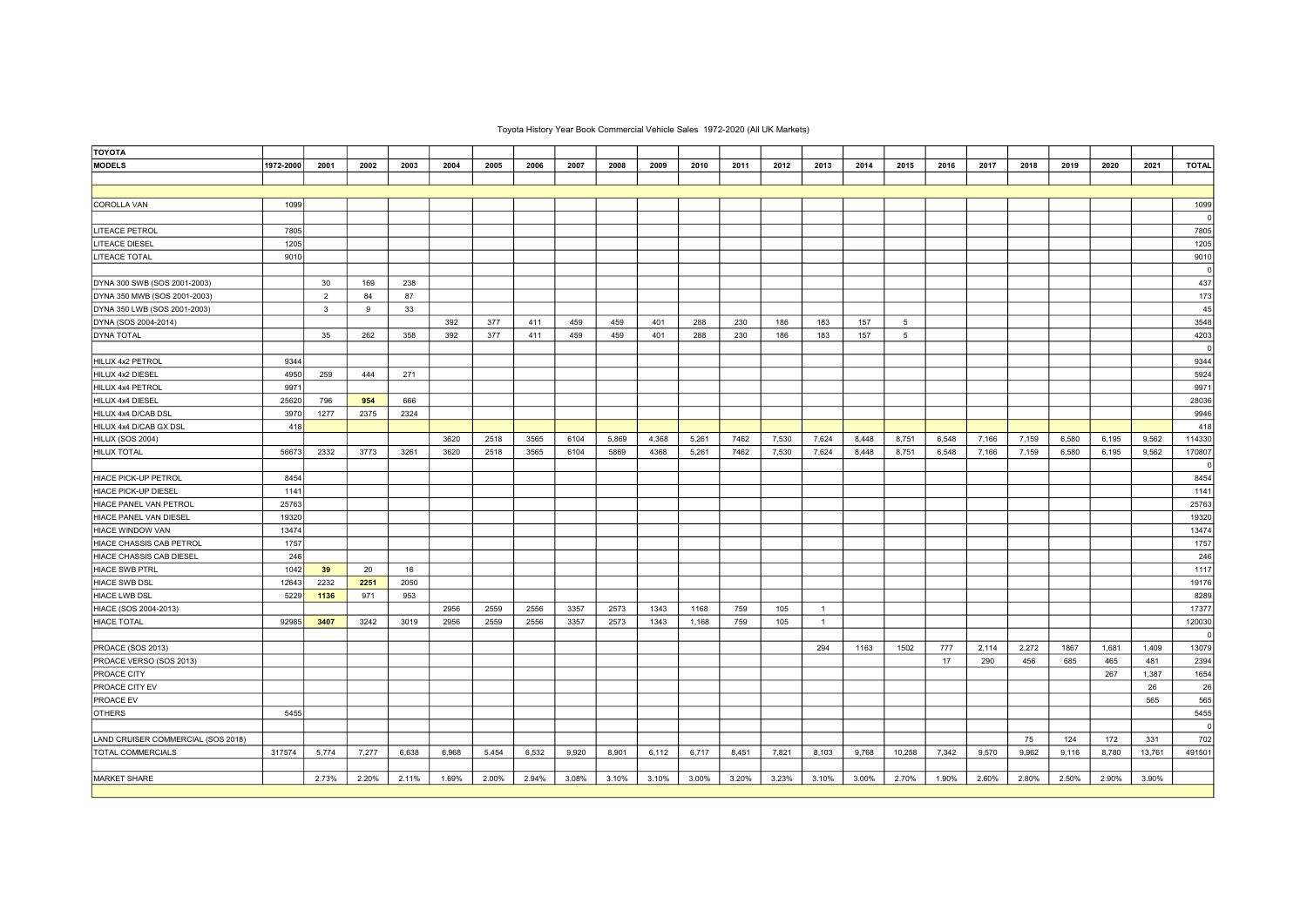| <b>TOYOTA</b>                      |           |                         |       |       |       |       |       |       |       |       |       |       |       |                |       |                 |       |       |       |       |       |        |              |
|------------------------------------|-----------|-------------------------|-------|-------|-------|-------|-------|-------|-------|-------|-------|-------|-------|----------------|-------|-----------------|-------|-------|-------|-------|-------|--------|--------------|
| <b>MODELS</b>                      | 1972-2000 | 2001                    | 2002  | 2003  | 2004  | 2005  | 2006  | 2007  | 2008  | 2009  | 2010  | 2011  | 2012  | 2013           | 2014  | 2015            | 2016  | 2017  | 2018  | 2019  | 2020  | 2021   | <b>TOTAL</b> |
|                                    |           |                         |       |       |       |       |       |       |       |       |       |       |       |                |       |                 |       |       |       |       |       |        |              |
|                                    |           |                         |       |       |       |       |       |       |       |       |       |       |       |                |       |                 |       |       |       |       |       |        |              |
| COROLLA VAN                        | 1099      |                         |       |       |       |       |       |       |       |       |       |       |       |                |       |                 |       |       |       |       |       |        | 1099         |
|                                    |           |                         |       |       |       |       |       |       |       |       |       |       |       |                |       |                 |       |       |       |       |       |        | $\mathbf{0}$ |
| <b>LITEACE PETROL</b>              | 7805      |                         |       |       |       |       |       |       |       |       |       |       |       |                |       |                 |       |       |       |       |       |        | 7805         |
| <b>LITEACE DIESEL</b>              | 1205      |                         |       |       |       |       |       |       |       |       |       |       |       |                |       |                 |       |       |       |       |       |        | 1205         |
| <b>LITEACE TOTAL</b>               | 9010      |                         |       |       |       |       |       |       |       |       |       |       |       |                |       |                 |       |       |       |       |       |        | 9010         |
|                                    |           |                         |       |       |       |       |       |       |       |       |       |       |       |                |       |                 |       |       |       |       |       |        | $\mathbf 0$  |
| DYNA 300 SWB (SOS 2001-2003)       |           | 30                      | 169   | 238   |       |       |       |       |       |       |       |       |       |                |       |                 |       |       |       |       |       |        | 437          |
| DYNA 350 MWB (SOS 2001-2003)       |           | $\overline{2}$          | 84    | 87    |       |       |       |       |       |       |       |       |       |                |       |                 |       |       |       |       |       |        | 173          |
| DYNA 350 LWB (SOS 2001-2003)       |           | $\overline{\mathbf{3}}$ | 9     | 33    |       |       |       |       |       |       |       |       |       |                |       |                 |       |       |       |       |       |        | 45           |
| DYNA (SOS 2004-2014)               |           |                         |       |       | 392   | 377   | 411   | 459   | 459   | 401   | 288   | 230   | 186   | 183            | 157   | $5\overline{5}$ |       |       |       |       |       |        | 3548         |
| DYNA TOTAL                         |           | 35                      | 262   | 358   | 392   | 377   | 411   | 459   | 459   | 401   | 288   | 230   | 186   | 183            | 157   | $5\overline{5}$ |       |       |       |       |       |        | 4203         |
|                                    |           |                         |       |       |       |       |       |       |       |       |       |       |       |                |       |                 |       |       |       |       |       |        | $\mathbf{0}$ |
| HILUX 4x2 PETROL                   | 9344      |                         |       |       |       |       |       |       |       |       |       |       |       |                |       |                 |       |       |       |       |       |        | 9344         |
| HILUX 4x2 DIESEL                   | 4950      | 259                     | 444   | 271   |       |       |       |       |       |       |       |       |       |                |       |                 |       |       |       |       |       |        | 5924         |
| HILUX 4x4 PETROL                   | 9971      |                         |       |       |       |       |       |       |       |       |       |       |       |                |       |                 |       |       |       |       |       |        | 9971         |
| HILUX 4x4 DIESEL                   | 25620     | 796                     | 954   | 666   |       |       |       |       |       |       |       |       |       |                |       |                 |       |       |       |       |       |        | 28036        |
| HILUX 4x4 D/CAB DSL                | 3970      | 1277                    | 2375  | 2324  |       |       |       |       |       |       |       |       |       |                |       |                 |       |       |       |       |       |        | 9946         |
| HILUX 4x4 D/CAB GX DSL             | 418       |                         |       |       |       |       |       |       |       |       |       |       |       |                |       |                 |       |       |       |       |       |        | 418          |
| HILUX (SOS 2004)                   |           |                         |       |       | 3620  | 2518  | 3565  | 6104  | 5,869 | 4,368 | 5,261 | 7462  | 7,530 | 7,624          | 8.448 | 8,751           | 6,548 | 7,166 | 7,159 | 6.580 | 6.195 | 9,562  | 114330       |
| <b>HILUX TOTAL</b>                 | 56673     | 2332                    | 3773  | 3261  | 3620  | 2518  | 3565  | 6104  | 5869  | 4368  | 5,261 | 7462  | 7,530 | 7,624          | 8,448 | 8,751           | 6,548 | 7,166 | 7,159 | 6,580 | 6,195 | 9,562  | 170807       |
|                                    |           |                         |       |       |       |       |       |       |       |       |       |       |       |                |       |                 |       |       |       |       |       |        | $\mathbf 0$  |
| <b>HIACE PICK-UP PETROL</b>        | 8454      |                         |       |       |       |       |       |       |       |       |       |       |       |                |       |                 |       |       |       |       |       |        | 8454         |
| HIACE PICK-UP DIESEL               | 1141      |                         |       |       |       |       |       |       |       |       |       |       |       |                |       |                 |       |       |       |       |       |        | 1141         |
| HIACE PANEL VAN PETROL             | 25763     |                         |       |       |       |       |       |       |       |       |       |       |       |                |       |                 |       |       |       |       |       |        | 25763        |
| HIACE PANEL VAN DIESEL             | 19320     |                         |       |       |       |       |       |       |       |       |       |       |       |                |       |                 |       |       |       |       |       |        | 19320        |
| <b>HIACE WINDOW VAN</b>            | 13474     |                         |       |       |       |       |       |       |       |       |       |       |       |                |       |                 |       |       |       |       |       |        | 13474        |
| HIACE CHASSIS CAB PETROL           | 1757      |                         |       |       |       |       |       |       |       |       |       |       |       |                |       |                 |       |       |       |       |       |        | 1757         |
| HIACE CHASSIS CAB DIESEL           | 246       |                         |       |       |       |       |       |       |       |       |       |       |       |                |       |                 |       |       |       |       |       |        | 246          |
| <b>HIACE SWB PTRL</b>              | 1042      | 39                      | 20    | 16    |       |       |       |       |       |       |       |       |       |                |       |                 |       |       |       |       |       |        | 1117         |
| <b>HIACE SWB DSL</b>               | 12643     | 2232                    | 2251  | 2050  |       |       |       |       |       |       |       |       |       |                |       |                 |       |       |       |       |       |        | 19176        |
| <b>HIACE LWB DSL</b>               | 5229      | 1136                    | 971   | 953   |       |       |       |       |       |       |       |       |       |                |       |                 |       |       |       |       |       |        | 8289         |
| HIACE (SOS 2004-2013)              |           |                         |       |       | 2956  | 2559  | 2556  | 3357  | 2573  | 1343  | 1168  | 759   | 105   | $\overline{1}$ |       |                 |       |       |       |       |       |        | 17377        |
| <b>HIACE TOTAL</b>                 | 92985     | 3407                    | 3242  | 3019  | 2956  | 2559  | 2556  | 3357  | 2573  | 1343  | 1,168 | 759   | 105   | $\mathbf{1}$   |       |                 |       |       |       |       |       |        | 120030       |
|                                    |           |                         |       |       |       |       |       |       |       |       |       |       |       |                |       |                 |       |       |       |       |       |        | $\Omega$     |
| PROACE (SOS 2013)                  |           |                         |       |       |       |       |       |       |       |       |       |       |       | 294            | 1163  | 1502            | 777   | 2,114 | 2,272 | 1867  | 1,681 | 1.409  | 13079        |
| PROACE VERSO (SOS 2013)            |           |                         |       |       |       |       |       |       |       |       |       |       |       |                |       |                 | 17    | 290   | 456   | 685   | 465   | 481    | 2394         |
| <b>PROACE CITY</b>                 |           |                         |       |       |       |       |       |       |       |       |       |       |       |                |       |                 |       |       |       |       | 267   | 1,387  | 1654         |
| PROACE CITY EV                     |           |                         |       |       |       |       |       |       |       |       |       |       |       |                |       |                 |       |       |       |       |       | 26     | 26           |
| PROACE EV                          |           |                         |       |       |       |       |       |       |       |       |       |       |       |                |       |                 |       |       |       |       |       | 565    | 565          |
| <b>OTHERS</b>                      | 5455      |                         |       |       |       |       |       |       |       |       |       |       |       |                |       |                 |       |       |       |       |       |        | 5455         |
|                                    |           |                         |       |       |       |       |       |       |       |       |       |       |       |                |       |                 |       |       |       |       |       |        | $\mathbf{0}$ |
| LAND CRUISER COMMERCIAL (SOS 2018) |           |                         |       |       |       |       |       |       |       |       |       |       |       |                |       |                 |       |       | 75    | 124   | 172   | 331    | 702          |
| <b>TOTAL COMMERCIALS</b>           | 317574    | 5,774                   | 7,277 | 6,638 | 6,968 | 5,454 | 6,532 | 9,920 | 8,901 | 6,112 | 6,717 | 8,451 | 7,821 | 8,103          | 9,768 | 10,258          | 7,342 | 9,570 | 9,962 | 9,116 | 8,780 | 13,761 | 491501       |
|                                    |           |                         |       |       |       |       |       |       |       |       |       |       |       |                |       |                 |       |       |       |       |       |        |              |
| <b>MARKET SHARE</b>                |           | 2.73%                   | 2.20% | 2.11% | 1.69% | 2.00% | 2.94% | 3.08% | 3.10% | 3.10% | 3.00% | 3.20% | 3.23% | 3.10%          | 3.00% | 2.70%           | 1.90% | 2.60% | 2.80% | 2.50% | 2.90% | 3.90%  |              |
|                                    |           |                         |       |       |       |       |       |       |       |       |       |       |       |                |       |                 |       |       |       |       |       |        |              |

## Toyota History Year Book Commercial Vehicle Sales 1972-2020 (All UK Markets)